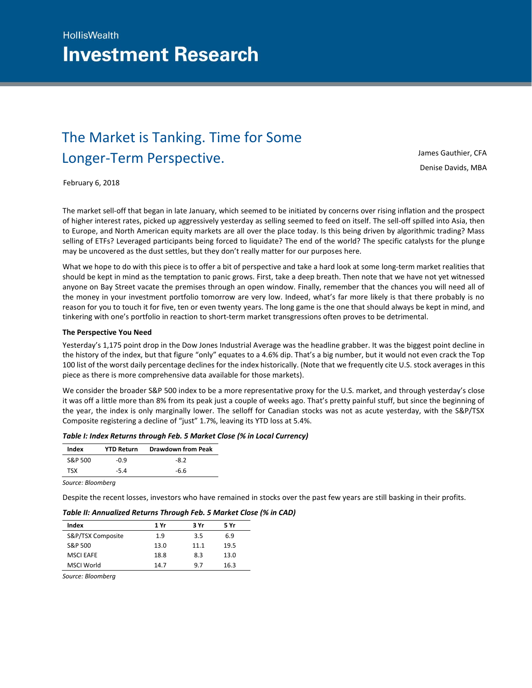# The Market is Tanking. Time for Some Longer-Term Perspective.

James Gauthier, CFA [Denise Davids, MBA](mailto:james.gauthier@iagto.ca) 

February 6, 2018

The market sell-off that began in late January, which seemed to be initiated by concerns over rising inflation and the prospect of higher interest rates, picked up aggressively yesterday as selling seemed to feed on itself. The sell-off spilled into Asia, then to Europe, and North American equity markets are all over the place today. Is this being driven by algorithmic trading? Mass selling of ETFs? Leveraged participants being forced to liquidate? The end of the world? The specific catalysts for the plunge may be uncovered as the dust settles, but they don't really matter for our purposes here.

What we hope to do with this piece is to offer a bit of perspective and take a hard look at some long-term market realities that should be kept in mind as the temptation to panic grows. First, take a deep breath. Then note that we have not yet witnessed anyone on Bay Street vacate the premises through an open window. Finally, remember that the chances you will need all of the money in your investment portfolio tomorrow are very low. Indeed, what's far more likely is that there probably is no reason for you to touch it for five, ten or even twenty years. The long game is the one that should always be kept in mind, and tinkering with one's portfolio in reaction to short-term market transgressions often proves to be detrimental.

## **The Perspective You Need**

Yesterday's 1,175 point drop in the Dow Jones Industrial Average was the headline grabber. It was the biggest point decline in the history of the index, but that figure "only" equates to a 4.6% dip. That's a big number, but it would not even crack the Top 100 list of the worst daily percentage declines for the index historically. (Note that we frequently cite U.S. stock averages in this piece as there is more comprehensive data available for those markets).

We consider the broader S&P 500 index to be a more representative proxy for the U.S. market, and through yesterday's close it was off a little more than 8% from its peak just a couple of weeks ago. That's pretty painful stuff, but since the beginning of the year, the index is only marginally lower. The selloff for Canadian stocks was not as acute yesterday, with the S&P/TSX Composite registering a decline of "just" 1.7%, leaving its YTD loss at 5.4%.

| Table I: Index Returns through Feb. 5 Market Close (% in Local Currency) |  |
|--------------------------------------------------------------------------|--|
|--------------------------------------------------------------------------|--|

| Index   | <b>YTD Return</b> | <b>Drawdown from Peak</b> |
|---------|-------------------|---------------------------|
| S&P 500 | -0.9              | $-8.2$                    |
| тҁх     | $-5.4$            | -6.6                      |

*Source: Bloomberg*

Despite the recent losses, investors who have remained in stocks over the past few years are still basking in their profits.

| Index             | 1 Yr | 3 Yr | 5 Yr |  |
|-------------------|------|------|------|--|
| S&P/TSX Composite | 1.9  | 3.5  | 6.9  |  |
| S&P 500           | 13.0 | 11.1 | 19.5 |  |
| <b>MSCI EAFE</b>  | 18.8 | 8.3  | 13.0 |  |
| MSCI World        | 14.7 | 9.7  | 16.3 |  |

# *Table II: Annualized Returns Through Feb. 5 Market Close (% in CAD)*

*Source: Bloomberg*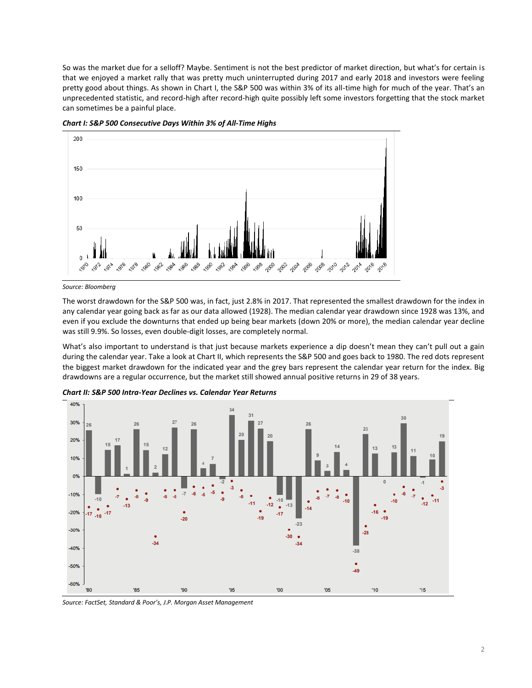So was the market due for a selloff? Maybe. Sentiment is not the best predictor of market direction, but what's for certain is that we enjoyed a market rally that was pretty much uninterrupted during 2017 and early 2018 and investors were feeling pretty good about things. As shown in Chart I, the S&P 500 was within 3% of its all-time high for much of the year. That's an unprecedented statistic, and record-high after record-high quite possibly left some investors forgetting that the stock market can sometimes be a painful place.



*Chart I: S&P 500 Consecutive Days Within 3% of All-Time Highs* 

The worst drawdown for the S&P 500 was, in fact, just 2.8% in 2017. That represented the smallest drawdown for the index in any calendar year going back as far as our data allowed (1928). The median calendar year drawdown since 1928 was 13%, and even if you exclude the downturns that ended up being bear markets (down 20% or more), the median calendar year decline was still 9.9%. So losses, even double-digit losses, are completely normal.

What's also important to understand is that just because markets experience a dip doesn't mean they can't pull out a gain during the calendar year. Take a look at Chart II, which represents the S&P 500 and goes back to 1980. The red dots represent the biggest market drawdown for the indicated year and the grey bars represent the calendar year return for the index. Big drawdowns are a regular occurrence, but the market still showed annual positive returns in 29 of 38 years.



*Chart II: S&P 500 Intra-Year Declines vs. Calendar Year Returns*

*Source: FactSet, Standard & Poor's, J.P. Morgan Asset Management*

*Source: Bloomberg*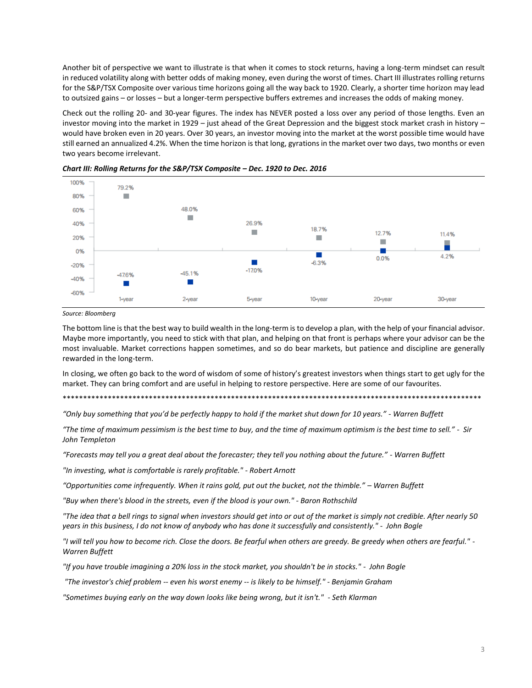Another bit of perspective we want to illustrate is that when it comes to stock returns, having a long-term mindset can result in reduced volatility along with better odds of making money, even during the worst of times. Chart III illustrates rolling returns for the S&P/TSX Composite over various time horizons going all the way back to 1920. Clearly, a shorter time horizon may lead to outsized gains – or losses – but a longer-term perspective buffers extremes and increases the odds of making money.

Check out the rolling 20- and 30-year figures. The index has NEVER posted a loss over any period of those lengths. Even an investor moving into the market in 1929 - just ahead of the Great Depression and the biggest stock market crash in history would have broken even in 20 years. Over 30 years, an investor moving into the market at the worst possible time would have still earned an annualized 4.2%. When the time horizon is that long, gyrations in the market over two days, two months or even two years become irrelevant.





Source: Bloomberg

The bottom line is that the best way to build wealth in the long-term is to develop a plan, with the help of your financial advisor. Maybe more importantly, you need to stick with that plan, and helping on that front is perhaps where your advisor can be the most invaluable. Market corrections happen sometimes, and so do bear markets, but patience and discipline are generally rewarded in the long-term.

In closing, we often go back to the word of wisdom of some of history's greatest investors when things start to get ugly for the market. They can bring comfort and are useful in helping to restore perspective. Here are some of our favourites.

"Only buy something that you'd be perfectly happy to hold if the market shut down for 10 years." - Warren Buffett

"The time of maximum pessimism is the best time to buy, and the time of maximum optimism is the best time to sell." - Sir John Templeton

"Forecasts may tell you a great deal about the forecaster; they tell you nothing about the future." - Warren Buffett

"In investing, what is comfortable is rarely profitable." - Robert Arnott

"Opportunities come infrequently. When it rains gold, put out the bucket, not the thimble." - Warren Buffett

"Buy when there's blood in the streets, even if the blood is your own." - Baron Rothschild

"The idea that a bell rinas to signal when investors should get into or out of the market is simply not credible. After nearly 50 years in this business, I do not know of anybody who has done it successfully and consistently." - John Bogle

"I will tell you how to become rich. Close the doors. Be fearful when others are greedy. Be greedy when others are fearful." -Warren Buffett

"If you have trouble imagining a 20% loss in the stock market, you shouldn't be in stocks." - John Bogle

"The investor's chief problem -- even his worst enemy -- is likely to be himself." - Benjamin Graham

"Sometimes buying early on the way down looks like being wrong, but it isn't." - Seth Klarman